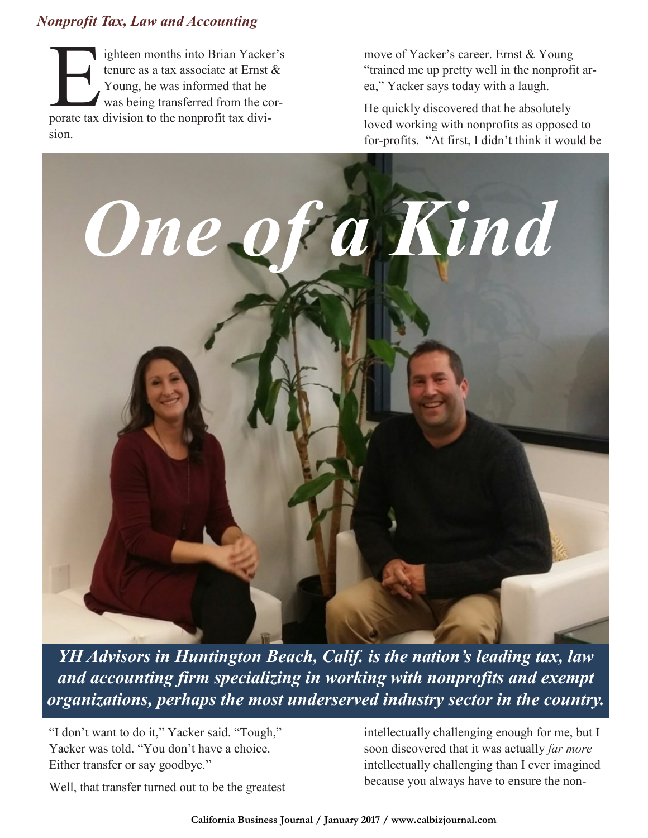## *Nonprofit Tax, Law and Accounting*

ighteen months into Brian Yacke<br>tenure as a tax associate at Ernst<br>Young, he was informed that he<br>was being transferred from the co<br>porate tax division to the nonprofit tax diviighteen months into Brian Yacker's tenure as a tax associate at Ernst & Young, he was informed that he was being transferred from the corsion.

move of Yacker's career. Ernst & Young "trained me up pretty well in the nonprofit area," Yacker says today with a laugh.

He quickly discovered that he absolutely loved working with nonprofits as opposed to for-profits. "At first, I didn't think it would be



*YH Advisors in Huntington Beach, Calif. is the nation's leading tax, law and accounting firm specializing in working with nonprofits and exempt organizations, perhaps the most underserved industry sector in the country.*

"I don't want to do it," Yacker said. "Tough," Yacker was told. "You don't have a choice. Either transfer or say goodbye."

intellectually challenging enough for me, but I soon discovered that it was actually *far more* intellectually challenging than I ever imagined because you always have to ensure the non-

Well, that transfer turned out to be the greatest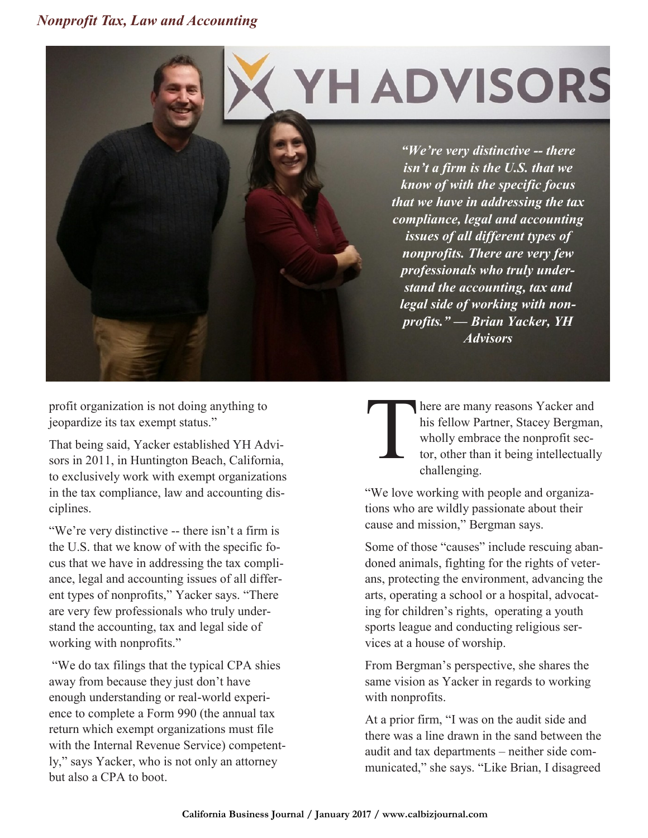## *Nonprofit Tax, Law and Accounting*

## **YH ADVISORS**

*"We're very distinctive -- there isn't a firm is the U.S. that we know of with the specific focus that we have in addressing the tax compliance, legal and accounting issues of all different types of nonprofits. There are very few professionals who truly understand the accounting, tax and legal side of working with nonprofits." — Brian Yacker, YH Advisors*

profit organization is not doing anything to jeopardize its tax exempt status."

That being said, Yacker established YH Advisors in 2011, in Huntington Beach, California, to exclusively work with exempt organizations in the tax compliance, law and accounting disciplines.

"We're very distinctive -- there isn't a firm is the U.S. that we know of with the specific focus that we have in addressing the tax compliance, legal and accounting issues of all different types of nonprofits," Yacker says. "There are very few professionals who truly understand the accounting, tax and legal side of working with nonprofits."

"We do tax filings that the typical CPA shies away from because they just don't have enough understanding or real-world experience to complete a Form 990 (the annual tax return which exempt organizations must file with the Internal Revenue Service) competently," says Yacker, who is not only an attorney but also a CPA to boot.

T here are many reasons Yacker and his fellow Partner, Stacey Bergman, wholly embrace the nonprofit sector, other than it being intellectually challenging.

"We love working with people and organizations who are wildly passionate about their cause and mission," Bergman says.

Some of those "causes" include rescuing abandoned animals, fighting for the rights of veterans, protecting the environment, advancing the arts, operating a school or a hospital, advocating for children's rights, operating a youth sports league and conducting religious services at a house of worship.

From Bergman's perspective, she shares the same vision as Yacker in regards to working with nonprofits.

At a prior firm, "I was on the audit side and there was a line drawn in the sand between the audit and tax departments – neither side communicated," she says. "Like Brian, I disagreed